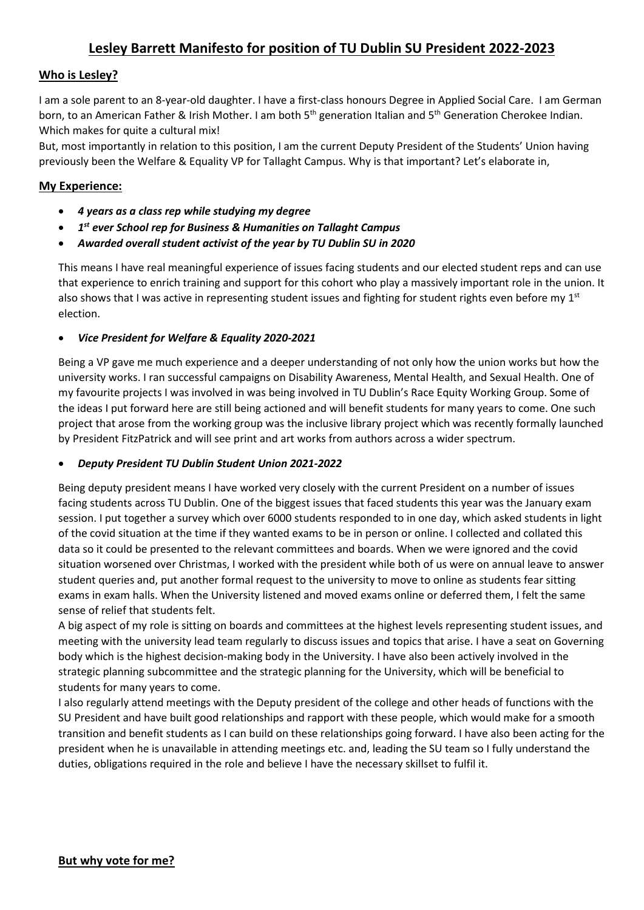## **Lesley Barrett Manifesto for position of TU Dublin SU President 2022-2023**

#### **Who is Lesley?**

I am a sole parent to an 8-year-old daughter. I have a first-class honours Degree in Applied Social Care. I am German born, to an American Father & Irish Mother. I am both 5<sup>th</sup> generation Italian and 5<sup>th</sup> Generation Cherokee Indian. Which makes for quite a cultural mix!

But, most importantly in relation to this position, I am the current Deputy President of the Students' Union having previously been the Welfare & Equality VP for Tallaght Campus. Why is that important? Let's elaborate in,

#### **My Experience:**

- *4 years as a class rep while studying my degree*
- *1st ever School rep for Business & Humanities on Tallaght Campus*
- *Awarded overall student activist of the year by TU Dublin SU in 2020*

This means I have real meaningful experience of issues facing students and our elected student reps and can use that experience to enrich training and support for this cohort who play a massively important role in the union. It also shows that I was active in representing student issues and fighting for student rights even before my  $1^{st}$ election.

#### • *Vice President for Welfare & Equality 2020-2021*

Being a VP gave me much experience and a deeper understanding of not only how the union works but how the university works. I ran successful campaigns on Disability Awareness, Mental Health, and Sexual Health. One of my favourite projects I was involved in was being involved in TU Dublin's Race Equity Working Group. Some of the ideas I put forward here are still being actioned and will benefit students for many years to come. One such project that arose from the working group was the inclusive library project which was recently formally launched by President FitzPatrick and will see print and art works from authors across a wider spectrum.

#### • *Deputy President TU Dublin Student Union 2021-2022*

Being deputy president means I have worked very closely with the current President on a number of issues facing students across TU Dublin. One of the biggest issues that faced students this year was the January exam session. I put together a survey which over 6000 students responded to in one day, which asked students in light of the covid situation at the time if they wanted exams to be in person or online. I collected and collated this data so it could be presented to the relevant committees and boards. When we were ignored and the covid situation worsened over Christmas, I worked with the president while both of us were on annual leave to answer student queries and, put another formal request to the university to move to online as students fear sitting exams in exam halls. When the University listened and moved exams online or deferred them, I felt the same sense of relief that students felt.

A big aspect of my role is sitting on boards and committees at the highest levels representing student issues, and meeting with the university lead team regularly to discuss issues and topics that arise. I have a seat on Governing body which is the highest decision-making body in the University. I have also been actively involved in the strategic planning subcommittee and the strategic planning for the University, which will be beneficial to students for many years to come.

I also regularly attend meetings with the Deputy president of the college and other heads of functions with the SU President and have built good relationships and rapport with these people, which would make for a smooth transition and benefit students as I can build on these relationships going forward. I have also been acting for the president when he is unavailable in attending meetings etc. and, leading the SU team so I fully understand the duties, obligations required in the role and believe I have the necessary skillset to fulfil it.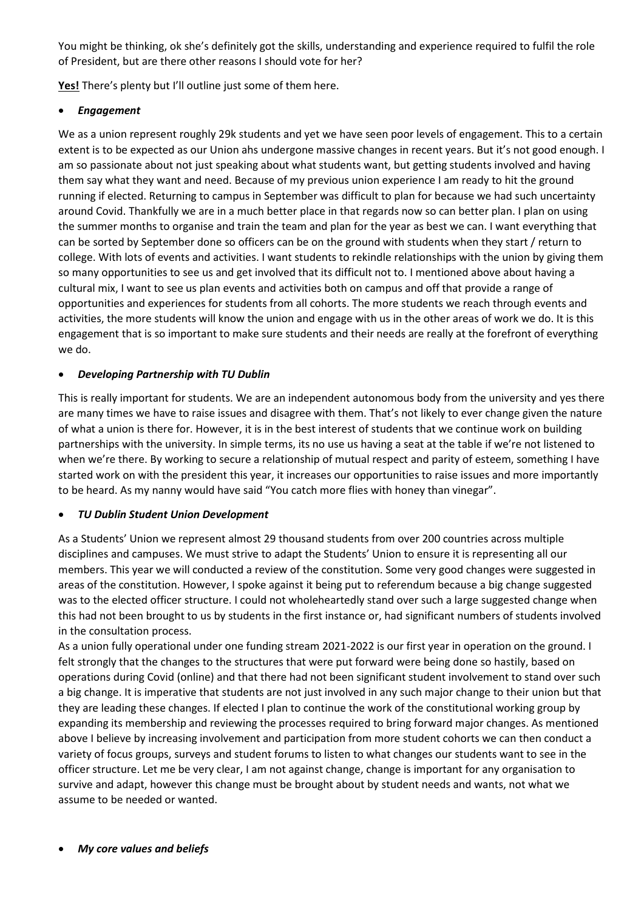You might be thinking, ok she's definitely got the skills, understanding and experience required to fulfil the role of President, but are there other reasons I should vote for her?

**Yes!** There's plenty but I'll outline just some of them here.

#### • *Engagement*

We as a union represent roughly 29k students and yet we have seen poor levels of engagement. This to a certain extent is to be expected as our Union ahs undergone massive changes in recent years. But it's not good enough. I am so passionate about not just speaking about what students want, but getting students involved and having them say what they want and need. Because of my previous union experience I am ready to hit the ground running if elected. Returning to campus in September was difficult to plan for because we had such uncertainty around Covid. Thankfully we are in a much better place in that regards now so can better plan. I plan on using the summer months to organise and train the team and plan for the year as best we can. I want everything that can be sorted by September done so officers can be on the ground with students when they start / return to college. With lots of events and activities. I want students to rekindle relationships with the union by giving them so many opportunities to see us and get involved that its difficult not to. I mentioned above about having a cultural mix, I want to see us plan events and activities both on campus and off that provide a range of opportunities and experiences for students from all cohorts. The more students we reach through events and activities, the more students will know the union and engage with us in the other areas of work we do. It is this engagement that is so important to make sure students and their needs are really at the forefront of everything we do.

#### • *Developing Partnership with TU Dublin*

This is really important for students. We are an independent autonomous body from the university and yes there are many times we have to raise issues and disagree with them. That's not likely to ever change given the nature of what a union is there for. However, it is in the best interest of students that we continue work on building partnerships with the university. In simple terms, its no use us having a seat at the table if we're not listened to when we're there. By working to secure a relationship of mutual respect and parity of esteem, something I have started work on with the president this year, it increases our opportunities to raise issues and more importantly to be heard. As my nanny would have said "You catch more flies with honey than vinegar".

#### • *TU Dublin Student Union Development*

As a Students' Union we represent almost 29 thousand students from over 200 countries across multiple disciplines and campuses. We must strive to adapt the Students' Union to ensure it is representing all our members. This year we will conducted a review of the constitution. Some very good changes were suggested in areas of the constitution. However, I spoke against it being put to referendum because a big change suggested was to the elected officer structure. I could not wholeheartedly stand over such a large suggested change when this had not been brought to us by students in the first instance or, had significant numbers of students involved in the consultation process.

As a union fully operational under one funding stream 2021-2022 is our first year in operation on the ground. I felt strongly that the changes to the structures that were put forward were being done so hastily, based on operations during Covid (online) and that there had not been significant student involvement to stand over such a big change. It is imperative that students are not just involved in any such major change to their union but that they are leading these changes. If elected I plan to continue the work of the constitutional working group by expanding its membership and reviewing the processes required to bring forward major changes. As mentioned above I believe by increasing involvement and participation from more student cohorts we can then conduct a variety of focus groups, surveys and student forums to listen to what changes our students want to see in the officer structure. Let me be very clear, I am not against change, change is important for any organisation to survive and adapt, however this change must be brought about by student needs and wants, not what we assume to be needed or wanted.